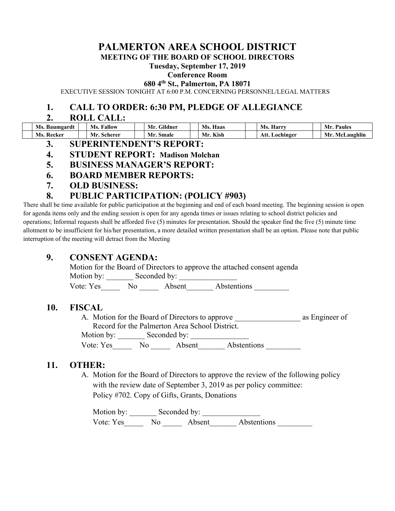# **PALMERTON AREA SCHOOL DISTRICT**

**MEETING OF THE BOARD OF SCHOOL DIRECTORS** 

#### **Tuesday, September 17, 2019**

#### **Conference Room**

**680 4th St., Palmerton, PA 18071** 

EXECUTIVE SESSION TONIGHT AT 6:00 P.M. CONCERNING PERSONNEL/LEGAL MATTERS

## **1. CALL TO ORDER: 6:30 PM, PLEDGE OF ALLEGIANCE**

#### **2. ROLL CALL:**

| <b>Ms. Baumgardt</b> | Ms.<br>Fallow | Gildner<br>Mr. | Ms.<br>Haas | Ms.<br>Harry   | Mr<br><b>Paules</b>    |
|----------------------|---------------|----------------|-------------|----------------|------------------------|
| -Recker<br>Ms.       | Mr. Scherer   | Mr.<br>Smale   | Kish        | Att. Lochinger | Laughlin<br>Mr.<br>McI |

- **3. SUPERINTENDENT'S REPORT:**
- **4. STUDENT REPORT: Madison Molchan**
- **5. BUSINESS MANAGER'S REPORT:**
- **6. BOARD MEMBER REPORTS:**
- **7. OLD BUSINESS:**

## **8. PUBLIC PARTICIPATION: (POLICY #903)**

There shall be time available for public participation at the beginning and end of each board meeting. The beginning session is open for agenda items only and the ending session is open for any agenda times or issues relating to school district policies and operations; Informal requests shall be afforded five (5) minutes for presentation. Should the speaker find the five (5) minute time allotment to be insufficient for his/her presentation, a more detailed written presentation shall be an option. Please note that public interruption of the meeting will detract from the Meeting

## **9. CONSENT AGENDA:**

Motion for the Board of Directors to approve the attached consent agenda

Motion by: Seconded by:

Vote: Yes Mo Absent Abstentions

## **10. FISCAL**

| A. Motion for the Board of Directors to approve | as Engineer of |        |                    |  |  |  |  |  |
|-------------------------------------------------|----------------|--------|--------------------|--|--|--|--|--|
| Record for the Palmerton Area School District.  |                |        |                    |  |  |  |  |  |
| Motion by: Seconded by:                         |                |        |                    |  |  |  |  |  |
| Vote: Yes                                       | No.            | Absent | <b>Abstentions</b> |  |  |  |  |  |

## **11. OTHER:**

A. Motion for the Board of Directors to approve the review of the following policy with the review date of September 3, 2019 as per policy committee: Policy #702. Copy of Gifts, Grants, Donations

Motion by: \_\_\_\_\_\_\_ Seconded by: \_\_\_\_\_\_\_\_\_\_\_\_\_\_\_ Vote: Yes\_\_\_\_\_\_ No \_\_\_\_\_\_ Absent\_\_\_\_\_\_\_ Abstentions \_\_\_\_\_\_\_\_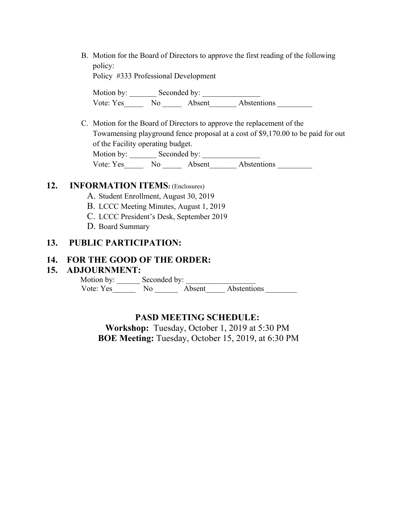B. Motion for the Board of Directors to approve the first reading of the following policy:

Policy #333 Professional Development

Motion by: \_\_\_\_\_\_\_ Seconded by: \_\_\_\_\_\_\_\_\_\_\_\_\_\_\_ Vote: Yes\_\_\_\_\_\_\_\_ No \_\_\_\_\_\_\_\_ Absent\_\_\_\_\_\_\_\_\_ Abstentions \_\_\_\_\_\_\_\_\_\_\_\_\_\_\_\_\_\_\_\_\_\_

C. Motion for the Board of Directors to approve the replacement of the Towamensing playground fence proposal at a cost of \$9,170.00 to be paid for out of the Facility operating budget. Motion by: \_\_\_\_\_\_\_ Seconded by: \_\_\_\_\_\_\_\_\_\_\_\_\_\_\_ Vote: Yes\_\_\_\_\_\_\_ No \_\_\_\_\_\_ Absent\_\_\_\_\_\_\_\_ Abstentions \_\_\_\_\_\_\_\_\_

### **12. INFORMATION ITEMS:** (Enclosures)

- A. Student Enrollment, August 30, 2019
- B. LCCC Meeting Minutes, August 1, 2019
- C. LCCC President's Desk, September 2019
- D. Board Summary

## **13. PUBLIC PARTICIPATION:**

#### **14. FOR THE GOOD OF THE ORDER:**

#### **15. ADJOURNMENT:**

Motion by: Seconded by: Vote: Yes No Absent Abstentions

#### **PASD MEETING SCHEDULE:**

**Workshop:** Tuesday, October 1, 2019 at 5:30 PM  **BOE Meeting:** Tuesday, October 15, 2019, at 6:30 PM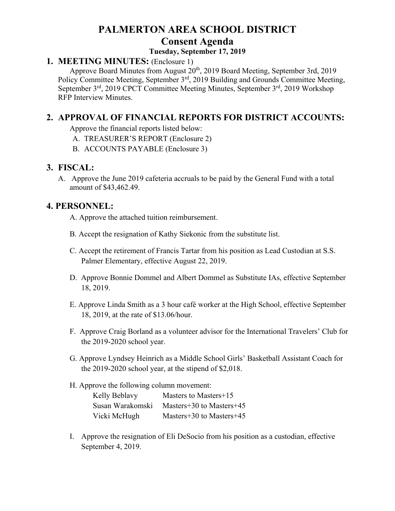# **PALMERTON AREA SCHOOL DISTRICT Consent Agenda**

#### **Tuesday, September 17, 2019**

## **1. MEETING MINUTES:** (Enclosure 1)

Approve Board Minutes from August 20<sup>th</sup>, 2019 Board Meeting, September 3rd, 2019 Policy Committee Meeting, September 3<sup>rd</sup>, 2019 Building and Grounds Committee Meeting, September 3<sup>rd</sup>, 2019 CPCT Committee Meeting Minutes, September 3<sup>rd</sup>, 2019 Workshop RFP Interview Minutes.

# **2. APPROVAL OF FINANCIAL REPORTS FOR DISTRICT ACCOUNTS:**

Approve the financial reports listed below:

- A. TREASURER'S REPORT (Enclosure 2)
- B. ACCOUNTS PAYABLE (Enclosure 3)

# **3. FISCAL:**

A. Approve the June 2019 cafeteria accruals to be paid by the General Fund with a total amount of \$43,462.49.

## **4. PERSONNEL:**

- A. Approve the attached tuition reimbursement.
- B. Accept the resignation of Kathy Siekonic from the substitute list.
- C. Accept the retirement of Francis Tartar from his position as Lead Custodian at S.S. Palmer Elementary, effective August 22, 2019.
- D. Approve Bonnie Dommel and Albert Dommel as Substitute IAs, effective September 18, 2019.
- E. Approve Linda Smith as a 3 hour café worker at the High School, effective September 18, 2019, at the rate of \$13.06/hour.
- F. Approve Craig Borland as a volunteer advisor for the International Travelers' Club for the 2019-2020 school year.
- G. Approve Lyndsey Heinrich as a Middle School Girls' Basketball Assistant Coach for the 2019-2020 school year, at the stipend of \$2,018.

#### H. Approve the following column movement:

| Kelly Beblavy    | Masters to Masters+15    |
|------------------|--------------------------|
| Susan Warakomski | Masters+30 to Masters+45 |
| Vicki McHugh     | Masters+30 to Masters+45 |

I. Approve the resignation of Eli DeSocio from his position as a custodian, effective September 4, 2019.